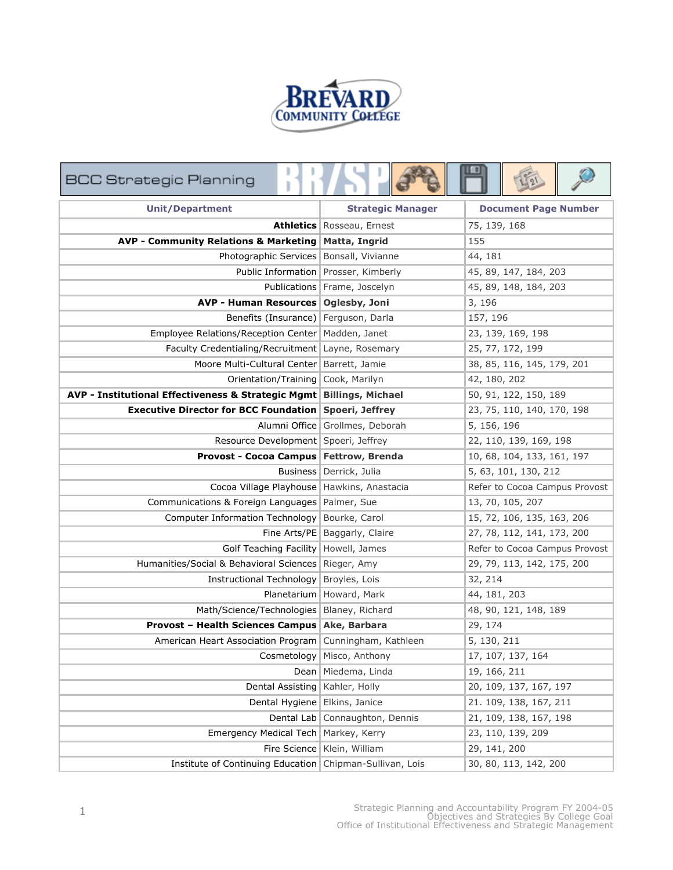

| <b>BCC Strategic Planning</b>                                          |  |                                              |  |     |                               |  |  |
|------------------------------------------------------------------------|--|----------------------------------------------|--|-----|-------------------------------|--|--|
| <b>Unit/Department</b>                                                 |  | <b>Strategic Manager</b>                     |  |     | <b>Document Page Number</b>   |  |  |
|                                                                        |  | <b>Athletics</b> Rosseau, Ernest             |  |     | 75, 139, 168                  |  |  |
| AVP - Community Relations & Marketing   Matta, Ingrid                  |  |                                              |  | 155 |                               |  |  |
| Photographic Services   Bonsall, Vivianne                              |  |                                              |  |     | 44, 181                       |  |  |
|                                                                        |  | Public Information   Prosser, Kimberly       |  |     | 45, 89, 147, 184, 203         |  |  |
|                                                                        |  | Publications Frame, Joscelyn                 |  |     | 45, 89, 148, 184, 203         |  |  |
| AVP - Human Resources   Oglesby, Joni                                  |  |                                              |  |     | 3, 196                        |  |  |
| Benefits (Insurance) Ferguson, Darla                                   |  |                                              |  |     | 157, 196                      |  |  |
| Employee Relations/Reception Center   Madden, Janet                    |  |                                              |  |     | 23, 139, 169, 198             |  |  |
| Faculty Credentialing/Recruitment Layne, Rosemary                      |  |                                              |  |     | 25, 77, 172, 199              |  |  |
| Moore Multi-Cultural Center   Barrett, Jamie                           |  |                                              |  |     | 38, 85, 116, 145, 179, 201    |  |  |
| Orientation/Training   Cook, Marilyn                                   |  |                                              |  |     | 42, 180, 202                  |  |  |
| AVP - Institutional Effectiveness & Strategic Mgmt   Billings, Michael |  |                                              |  |     | 50, 91, 122, 150, 189         |  |  |
| <b>Executive Director for BCC Foundation Spoeri, Jeffrey</b>           |  |                                              |  |     | 23, 75, 110, 140, 170, 198    |  |  |
|                                                                        |  | Alumni Office Grollmes, Deborah              |  |     | 5, 156, 196                   |  |  |
| Resource Development Spoeri, Jeffrey                                   |  |                                              |  |     | 22, 110, 139, 169, 198        |  |  |
| Provost - Cocoa Campus   Fettrow, Brenda                               |  |                                              |  |     | 10, 68, 104, 133, 161, 197    |  |  |
|                                                                        |  | Business   Derrick, Julia                    |  |     | 5, 63, 101, 130, 212          |  |  |
|                                                                        |  | Cocoa Village Playhouse   Hawkins, Anastacia |  |     | Refer to Cocoa Campus Provost |  |  |
| Communications & Foreign Languages   Palmer, Sue                       |  |                                              |  |     | 13, 70, 105, 207              |  |  |
| Computer Information Technology                                        |  | Bourke, Carol                                |  |     | 15, 72, 106, 135, 163, 206    |  |  |
|                                                                        |  | Fine Arts/PE   Baggarly, Claire              |  |     | 27, 78, 112, 141, 173, 200    |  |  |
| Golf Teaching Facility   Howell, James                                 |  |                                              |  |     | Refer to Cocoa Campus Provost |  |  |
| Humanities/Social & Behavioral Sciences   Rieger, Amy                  |  |                                              |  |     | 29, 79, 113, 142, 175, 200    |  |  |
| Instructional Technology   Broyles, Lois                               |  |                                              |  |     | 32, 214                       |  |  |
|                                                                        |  | Planetarium   Howard, Mark                   |  |     | 44, 181, 203                  |  |  |
| Math/Science/Technologies   Blaney, Richard                            |  |                                              |  |     | 48, 90, 121, 148, 189         |  |  |
| Provost - Health Sciences Campus Ake, Barbara                          |  |                                              |  |     | 29, 174                       |  |  |
| American Heart Association Program   Cunningham, Kathleen              |  |                                              |  |     | 5, 130, 211                   |  |  |
|                                                                        |  | Cosmetology   Misco, Anthony                 |  |     | 17, 107, 137, 164             |  |  |
|                                                                        |  | Dean   Miedema, Linda                        |  |     | 19, 166, 211                  |  |  |
| Dental Assisting   Kahler, Holly                                       |  |                                              |  |     | 20, 109, 137, 167, 197        |  |  |
| Dental Hygiene                                                         |  | Elkins, Janice                               |  |     | 21. 109, 138, 167, 211        |  |  |
| Dental Lab                                                             |  | Connaughton, Dennis                          |  |     | 21, 109, 138, 167, 198        |  |  |
| Emergency Medical Tech   Markey, Kerry                                 |  |                                              |  |     | 23, 110, 139, 209             |  |  |
|                                                                        |  | Fire Science Klein, William                  |  |     | 29, 141, 200                  |  |  |
| Institute of Continuing Education   Chipman-Sullivan, Lois             |  |                                              |  |     | 30, 80, 113, 142, 200         |  |  |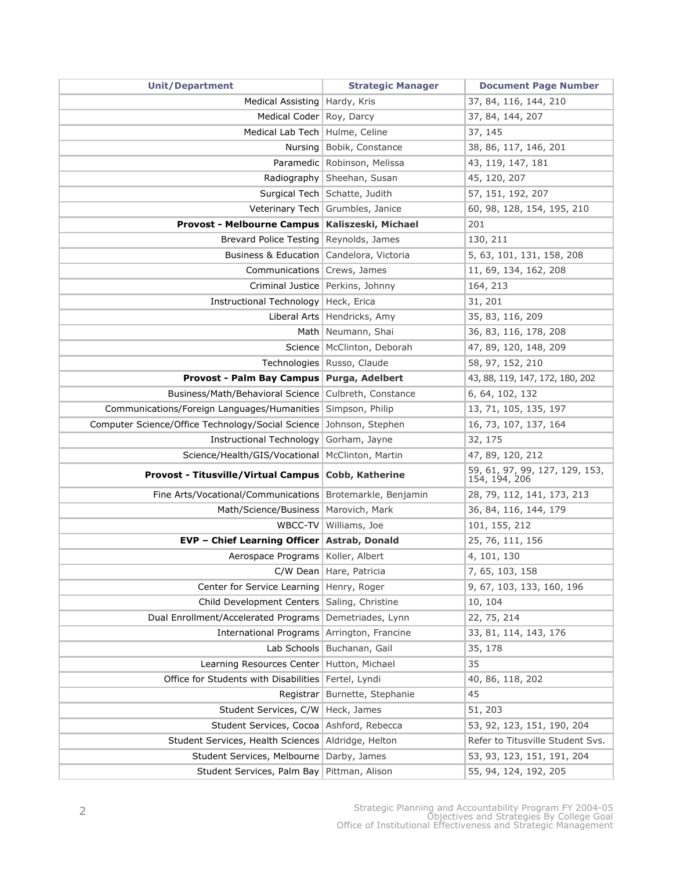| <b>Unit/Department</b>                                             | <b>Strategic Manager</b>                                       | <b>Document Page Number</b>                     |  |
|--------------------------------------------------------------------|----------------------------------------------------------------|-------------------------------------------------|--|
| Medical Assisting   Hardy, Kris                                    |                                                                | 37, 84, 116, 144, 210                           |  |
| Medical Coder Roy, Darcy                                           |                                                                | 37, 84, 144, 207                                |  |
| Medical Lab Tech   Hulme, Celine                                   |                                                                | 37, 145                                         |  |
|                                                                    | Nursing   Bobik, Constance                                     | 38, 86, 117, 146, 201                           |  |
|                                                                    | Paramedic Robinson, Melissa                                    | 43, 119, 147, 181                               |  |
|                                                                    | Radiography   Sheehan, Susan                                   | 45, 120, 207                                    |  |
|                                                                    | Surgical Tech   Schatte, Judith<br>57, 151, 192, 207           |                                                 |  |
|                                                                    | Veterinary Tech Grumbles, Janice<br>60, 98, 128, 154, 195, 210 |                                                 |  |
| Provost - Melbourne Campus   Kaliszeski, Michael                   |                                                                | 201                                             |  |
| Brevard Police Testing Reynolds, James                             |                                                                | 130, 211                                        |  |
| Business & Education   Candelora, Victoria                         | 5, 63, 101, 131, 158, 208                                      |                                                 |  |
| Communications   Crews, James                                      |                                                                | 11, 69, 134, 162, 208                           |  |
|                                                                    | Criminal Justice   Perkins, Johnny<br>164, 213                 |                                                 |  |
| Instructional Technology   Heck, Erica                             |                                                                | 31, 201                                         |  |
|                                                                    | Liberal Arts   Hendricks, Amy                                  | 35, 83, 116, 209                                |  |
|                                                                    | Math   Neumann, Shai                                           | 36, 83, 116, 178, 208                           |  |
|                                                                    | Science   McClinton, Deborah                                   | 47, 89, 120, 148, 209                           |  |
|                                                                    | Technologies   Russo, Claude                                   | 58, 97, 152, 210                                |  |
| Provost - Palm Bay Campus   Purga, Adelbert                        |                                                                | 43, 88, 119, 147, 172, 180, 202                 |  |
| Business/Math/Behavioral Science   Culbreth, Constance             |                                                                | 6, 64, 102, 132                                 |  |
| Communications/Foreign Languages/Humanities Simpson, Philip        |                                                                | 13, 71, 105, 135, 197                           |  |
| Computer Science/Office Technology/Social Science Johnson, Stephen |                                                                | 16, 73, 107, 137, 164                           |  |
| Instructional Technology                                           | Gorham, Jayne                                                  | 32, 175                                         |  |
| Science/Health/GIS/Vocational   McClinton, Martin                  |                                                                | 47, 89, 120, 212                                |  |
| Provost - Titusville/Virtual Campus   Cobb, Katherine              |                                                                | 59, 61, 97, 99, 127, 129, 153,<br>154, 194, 206 |  |
| Fine Arts/Vocational/Communications   Brotemarkle, Benjamin        |                                                                | 28, 79, 112, 141, 173, 213                      |  |
| Math/Science/Business   Marovich, Mark                             |                                                                | 36, 84, 116, 144, 179                           |  |
|                                                                    | WBCC-TV Williams, Joe                                          | 101, 155, 212                                   |  |
| EVP - Chief Learning Officer   Astrab, Donald                      |                                                                | 25, 76, 111, 156                                |  |
| Aerospace Programs   Koller, Albert                                |                                                                | 4, 101, 130                                     |  |
|                                                                    | C/W Dean   Hare, Patricia                                      | 7, 65, 103, 158                                 |  |
| Center for Service Learning   Henry, Roger                         |                                                                | 9, 67, 103, 133, 160, 196                       |  |
| Child Development Centers   Saling, Christine                      |                                                                | 10, 104                                         |  |
| Dual Enrollment/Accelerated Programs Demetriades, Lynn             |                                                                | 22, 75, 214                                     |  |
| International Programs Arrington, Francine                         |                                                                | 33, 81, 114, 143, 176                           |  |
|                                                                    | Lab Schools   Buchanan, Gail                                   | 35, 178                                         |  |
| Learning Resources Center   Hutton, Michael                        |                                                                | 35                                              |  |
| Office for Students with Disabilities   Fertel, Lyndi              |                                                                | 40, 86, 118, 202                                |  |
| Registrar                                                          | Burnette, Stephanie                                            | 45                                              |  |
| Student Services, C/W   Heck, James                                | 51, 203                                                        |                                                 |  |
| Student Services, Cocoa   Ashford, Rebecca                         |                                                                | 53, 92, 123, 151, 190, 204                      |  |
| Student Services, Health Sciences   Aldridge, Helton               |                                                                | Refer to Titusville Student Svs.                |  |
| Student Services, Melbourne   Darby, James                         |                                                                | 53, 93, 123, 151, 191, 204                      |  |
| Student Services, Palm Bay   Pittman, Alison                       |                                                                | 55, 94, 124, 192, 205                           |  |